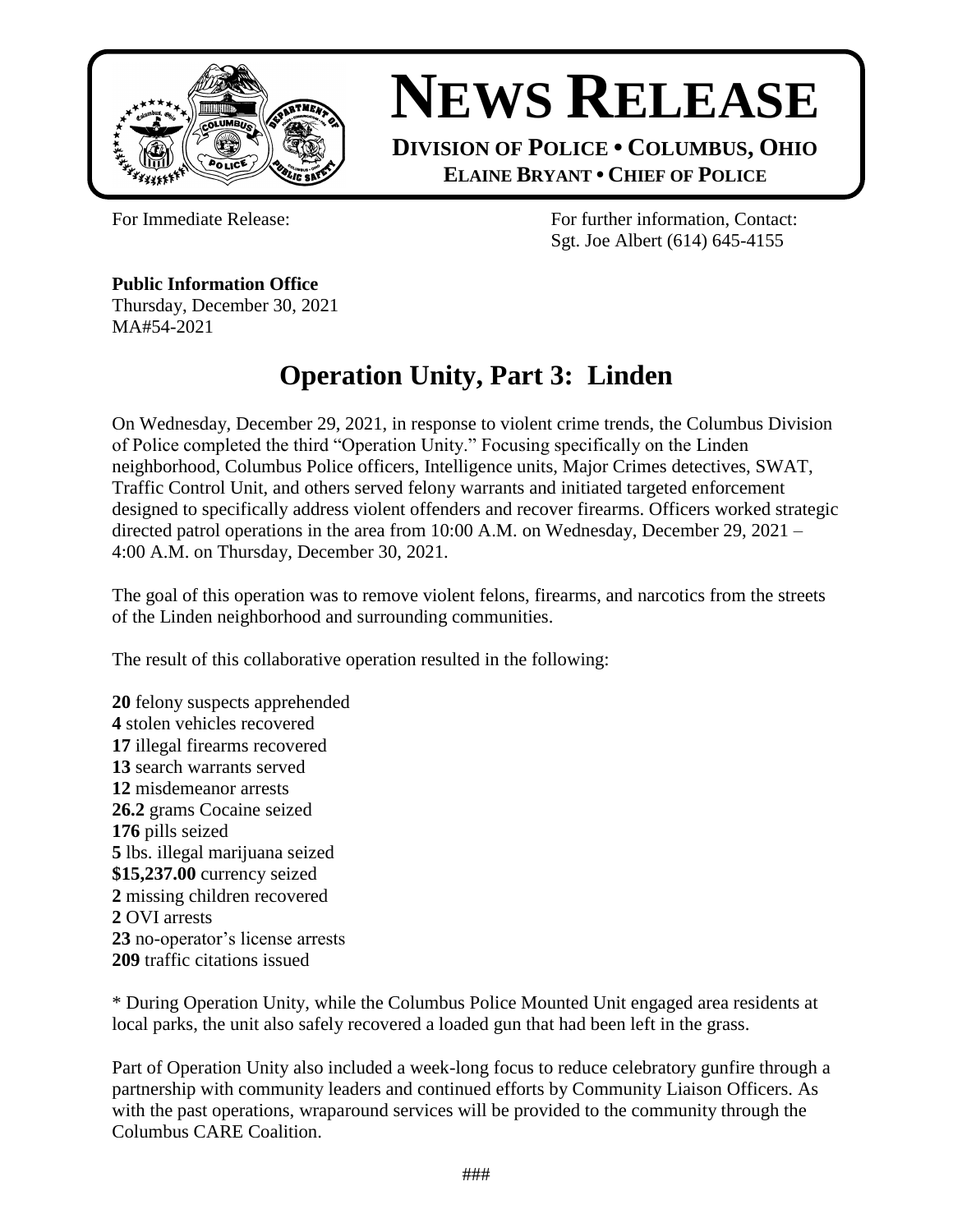

**NEWS RELEASE**

**DIVISION OF POLICE • COLUMBUS, OHIO ELAINE BRYANT • CHIEF OF POLICE**

For Immediate Release: For further information, Contact: Sgt. Joe Albert (614) 645-4155

## **Public Information Office**

Thursday, December 30, 2021 MA#54-2021

## **Operation Unity, Part 3: Linden**

On Wednesday, December 29, 2021, in response to violent crime trends, the Columbus Division of Police completed the third "Operation Unity." Focusing specifically on the Linden neighborhood, Columbus Police officers, Intelligence units, Major Crimes detectives, SWAT, Traffic Control Unit, and others served felony warrants and initiated targeted enforcement designed to specifically address violent offenders and recover firearms. Officers worked strategic directed patrol operations in the area from 10:00 A.M. on Wednesday, December 29, 2021 – 4:00 A.M. on Thursday, December 30, 2021.

The goal of this operation was to remove violent felons, firearms, and narcotics from the streets of the Linden neighborhood and surrounding communities.

The result of this collaborative operation resulted in the following:

 felony suspects apprehended stolen vehicles recovered illegal firearms recovered search warrants served misdemeanor arrests **26.2** grams Cocaine seized pills seized lbs. illegal marijuana seized **\$15,237.00** currency seized missing children recovered OVI arrests no-operator's license arrests traffic citations issued

\* During Operation Unity, while the Columbus Police Mounted Unit engaged area residents at local parks, the unit also safely recovered a loaded gun that had been left in the grass.

Part of Operation Unity also included a week-long focus to reduce celebratory gunfire through a partnership with community leaders and continued efforts by Community Liaison Officers. As with the past operations, wraparound services will be provided to the community through the Columbus CARE Coalition.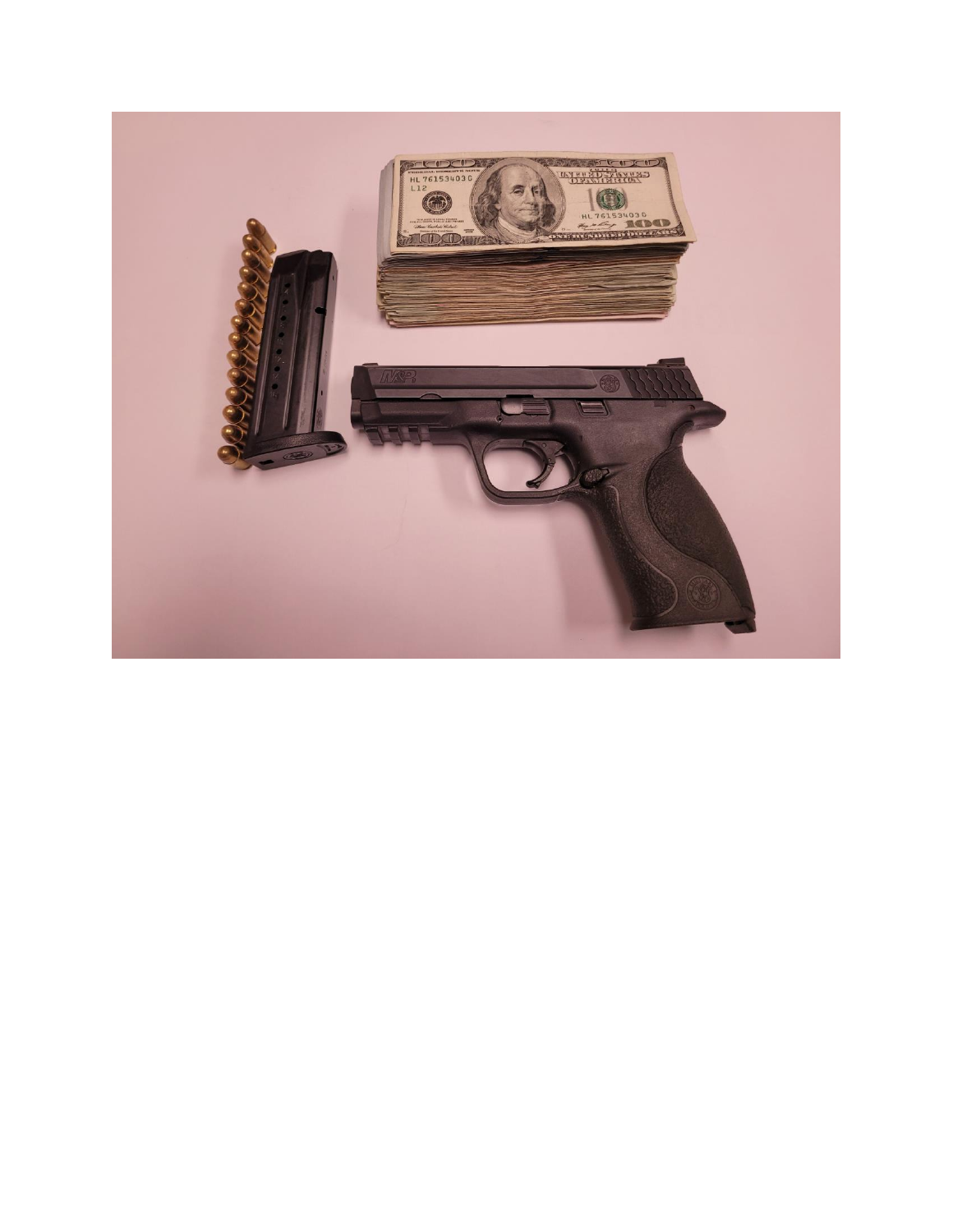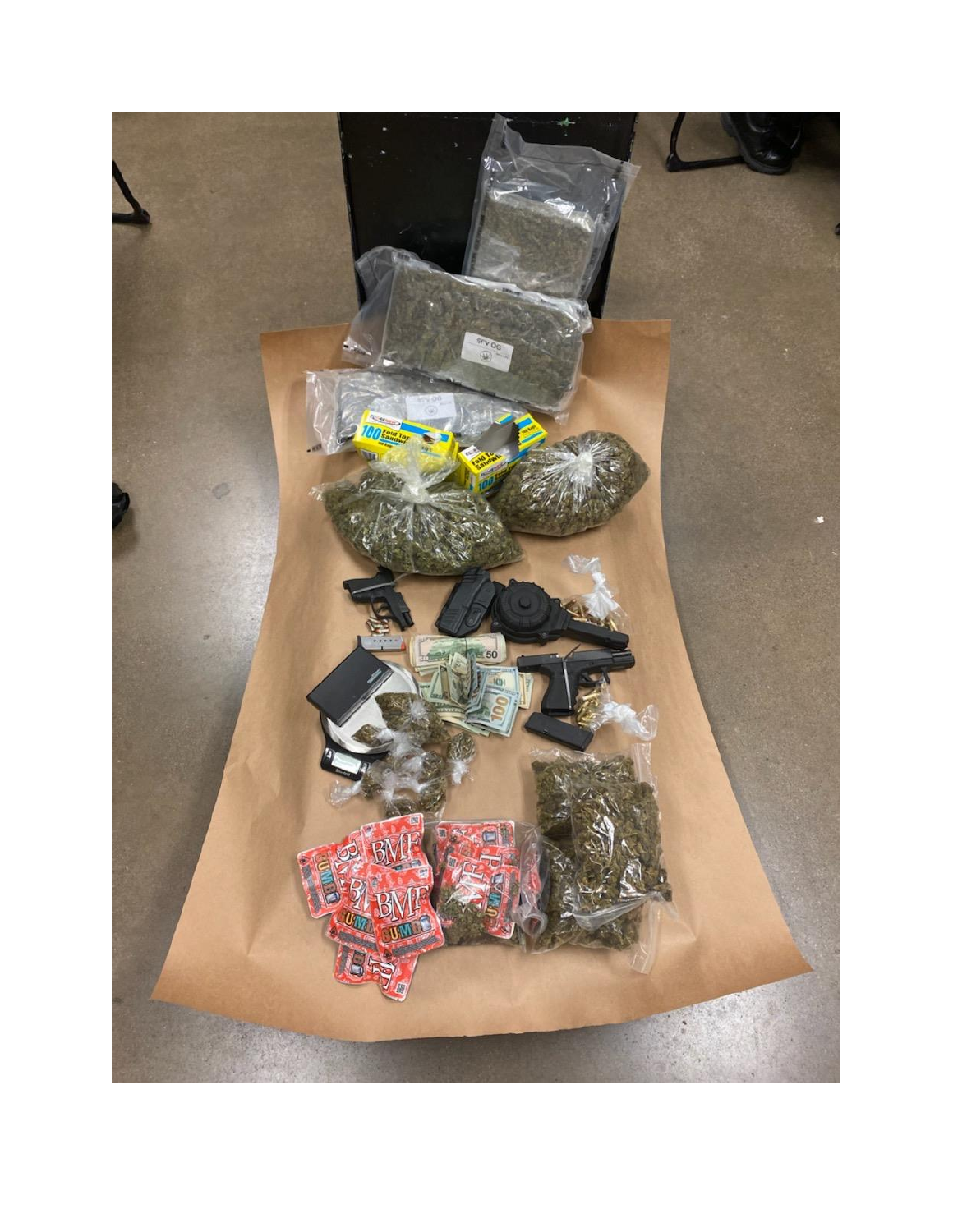